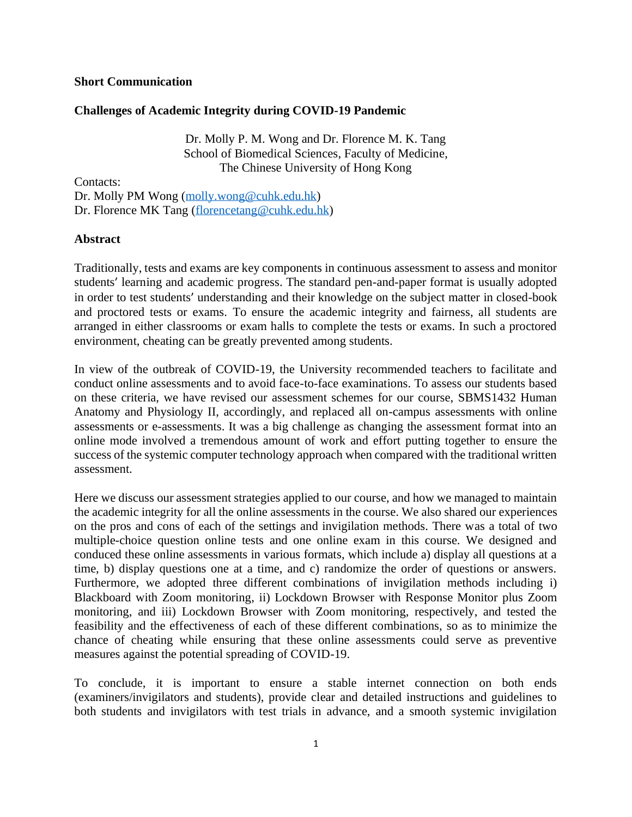### **Short Communication**

# **Challenges of Academic Integrity during COVID-19 Pandemic**

Dr. Molly P. M. Wong and Dr. Florence M. K. Tang School of Biomedical Sciences, Faculty of Medicine, The Chinese University of Hong Kong

Contacts:

Dr. Molly PM Wong [\(molly.wong@cuhk.edu.hk\)](mailto:molly.wong@cuhk.edu.hk) Dr. Florence MK Tang [\(florencetang@cuhk.edu.hk\)](mailto:florencetang@cuhk.edu.hk)

## **Abstract**

Traditionally, tests and exams are key components in continuous assessment to assess and monitor students' learning and academic progress. The standard pen-and-paper format is usually adopted in order to test students' understanding and their knowledge on the subject matter in closed-book and proctored tests or exams. To ensure the academic integrity and fairness, all students are arranged in either classrooms or exam halls to complete the tests or exams. In such a proctored environment, cheating can be greatly prevented among students.

In view of the outbreak of COVID-19, the University recommended teachers to facilitate and conduct online assessments and to avoid face-to-face examinations. To assess our students based on these criteria, we have revised our assessment schemes for our course, SBMS1432 Human Anatomy and Physiology II, accordingly, and replaced all on-campus assessments with online assessments or e-assessments. It was a big challenge as changing the assessment format into an online mode involved a tremendous amount of work and effort putting together to ensure the success of the systemic computer technology approach when compared with the traditional written assessment.

Here we discuss our assessment strategies applied to our course, and how we managed to maintain the academic integrity for all the online assessments in the course. We also shared our experiences on the pros and cons of each of the settings and invigilation methods. There was a total of two multiple-choice question online tests and one online exam in this course. We designed and conduced these online assessments in various formats, which include a) display all questions at a time, b) display questions one at a time, and c) randomize the order of questions or answers. Furthermore, we adopted three different combinations of invigilation methods including i) Blackboard with Zoom monitoring, ii) Lockdown Browser with Response Monitor plus Zoom monitoring, and iii) Lockdown Browser with Zoom monitoring, respectively, and tested the feasibility and the effectiveness of each of these different combinations, so as to minimize the chance of cheating while ensuring that these online assessments could serve as preventive measures against the potential spreading of COVID-19.

To conclude, it is important to ensure a stable internet connection on both ends (examiners/invigilators and students), provide clear and detailed instructions and guidelines to both students and invigilators with test trials in advance, and a smooth systemic invigilation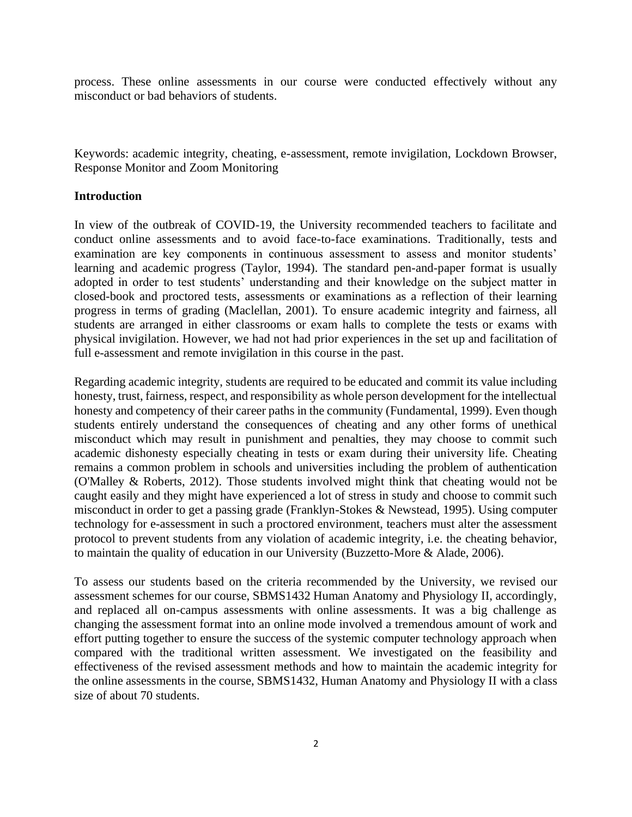process. These online assessments in our course were conducted effectively without any misconduct or bad behaviors of students.

Keywords: academic integrity, cheating, e-assessment, remote invigilation, Lockdown Browser, Response Monitor and Zoom Monitoring

#### **Introduction**

In view of the outbreak of COVID-19, the University recommended teachers to facilitate and conduct online assessments and to avoid face-to-face examinations. Traditionally, tests and examination are key components in continuous assessment to assess and monitor students' learning and academic progress (Taylor, 1994). The standard pen-and-paper format is usually adopted in order to test students' understanding and their knowledge on the subject matter in closed-book and proctored tests, assessments or examinations as a reflection of their learning progress in terms of grading (Maclellan, 2001). To ensure academic integrity and fairness, all students are arranged in either classrooms or exam halls to complete the tests or exams with physical invigilation. However, we had not had prior experiences in the set up and facilitation of full e-assessment and remote invigilation in this course in the past.

Regarding academic integrity, students are required to be educated and commit its value including honesty, trust, fairness, respect, and responsibility as whole person development for the intellectual honesty and competency of their career paths in the community (Fundamental, 1999). Even though students entirely understand the consequences of cheating and any other forms of unethical misconduct which may result in punishment and penalties, they may choose to commit such academic dishonesty especially cheating in tests or exam during their university life. Cheating remains a common problem in schools and universities including the problem of authentication (O'Malley & Roberts, 2012). Those students involved might think that cheating would not be caught easily and they might have experienced a lot of stress in study and choose to commit such misconduct in order to get a passing grade (Franklyn-Stokes & Newstead, 1995). Using computer technology for e-assessment in such a proctored environment, teachers must alter the assessment protocol to prevent students from any violation of academic integrity, i.e. the cheating behavior, to maintain the quality of education in our University (Buzzetto-More & Alade, 2006).

To assess our students based on the criteria recommended by the University, we revised our assessment schemes for our course, SBMS1432 Human Anatomy and Physiology II, accordingly, and replaced all on-campus assessments with online assessments. It was a big challenge as changing the assessment format into an online mode involved a tremendous amount of work and effort putting together to ensure the success of the systemic computer technology approach when compared with the traditional written assessment. We investigated on the feasibility and effectiveness of the revised assessment methods and how to maintain the academic integrity for the online assessments in the course, SBMS1432, Human Anatomy and Physiology II with a class size of about 70 students.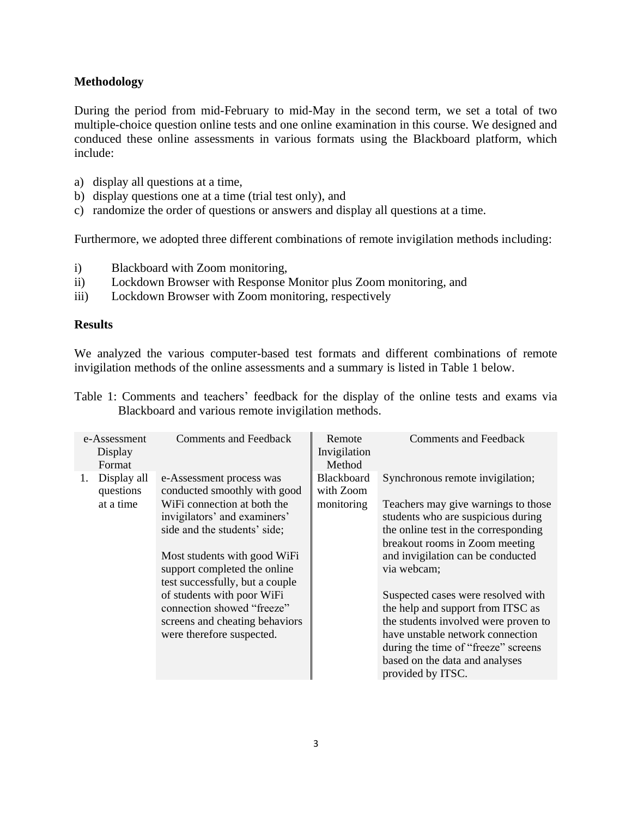# **Methodology**

During the period from mid-February to mid-May in the second term, we set a total of two multiple-choice question online tests and one online examination in this course. We designed and conduced these online assessments in various formats using the Blackboard platform, which include:

- a) display all questions at a time,
- b) display questions one at a time (trial test only), and
- c) randomize the order of questions or answers and display all questions at a time.

Furthermore, we adopted three different combinations of remote invigilation methods including:

- i) Blackboard with Zoom monitoring,
- ii) Lockdown Browser with Response Monitor plus Zoom monitoring, and
- iii) Lockdown Browser with Zoom monitoring, respectively

### **Results**

We analyzed the various computer-based test formats and different combinations of remote invigilation methods of the online assessments and a summary is listed in Table 1 below.

|                                                     |  | Table 1: Comments and teachers' feedback for the display of the online tests and exams via |  |  |  |  |  |  |  |  |  |
|-----------------------------------------------------|--|--------------------------------------------------------------------------------------------|--|--|--|--|--|--|--|--|--|
| Blackboard and various remote invigilation methods. |  |                                                                                            |  |  |  |  |  |  |  |  |  |

| e-Assessment<br>Display<br>Format |                                       | <b>Comments and Feedback</b>                                                                                                                                                                                                                                                                                                                                                          | Remote<br>Invigilation<br>Method      | <b>Comments and Feedback</b>                                                                                                                                                                                                                                                                                                                                                                                                                                                                     |
|-----------------------------------|---------------------------------------|---------------------------------------------------------------------------------------------------------------------------------------------------------------------------------------------------------------------------------------------------------------------------------------------------------------------------------------------------------------------------------------|---------------------------------------|--------------------------------------------------------------------------------------------------------------------------------------------------------------------------------------------------------------------------------------------------------------------------------------------------------------------------------------------------------------------------------------------------------------------------------------------------------------------------------------------------|
| 1.                                | Display all<br>questions<br>at a time | e-Assessment process was<br>conducted smoothly with good<br>WiFi connection at both the<br>invigilators' and examiners'<br>side and the students' side;<br>Most students with good WiFi<br>support completed the online<br>test successfully, but a couple<br>of students with poor WiFi<br>connection showed "freeze"<br>screens and cheating behaviors<br>were therefore suspected. | Blackboard<br>with Zoom<br>monitoring | Synchronous remote invigilation;<br>Teachers may give warnings to those<br>students who are suspicious during<br>the online test in the corresponding<br>breakout rooms in Zoom meeting<br>and invigilation can be conducted<br>via webcam;<br>Suspected cases were resolved with<br>the help and support from ITSC as<br>the students involved were proven to<br>have unstable network connection<br>during the time of "freeze" screens<br>based on the data and analyses<br>provided by ITSC. |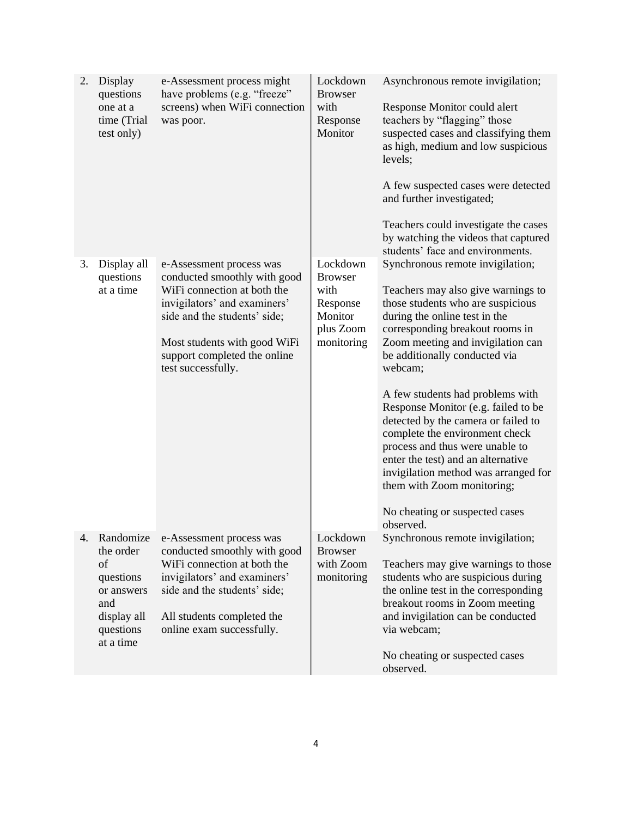| 2. | Display<br>questions<br>one at a<br>time (Trial<br>test only)                                           | e-Assessment process might<br>have problems (e.g. "freeze"<br>screens) when WiFi connection<br>was poor.                                                                                                                                      | Lockdown<br><b>Browser</b><br>with<br>Response<br>Monitor                            | Asynchronous remote invigilation;<br>Response Monitor could alert<br>teachers by "flagging" those<br>suspected cases and classifying them<br>as high, medium and low suspicious<br>levels;<br>A few suspected cases were detected<br>and further investigated;<br>Teachers could investigate the cases<br>by watching the videos that captured<br>students' face and environments.                                                                                                                                                                                                                                 |
|----|---------------------------------------------------------------------------------------------------------|-----------------------------------------------------------------------------------------------------------------------------------------------------------------------------------------------------------------------------------------------|--------------------------------------------------------------------------------------|--------------------------------------------------------------------------------------------------------------------------------------------------------------------------------------------------------------------------------------------------------------------------------------------------------------------------------------------------------------------------------------------------------------------------------------------------------------------------------------------------------------------------------------------------------------------------------------------------------------------|
| 3. | Display all<br>questions<br>at a time                                                                   | e-Assessment process was<br>conducted smoothly with good<br>WiFi connection at both the<br>invigilators' and examiners'<br>side and the students' side;<br>Most students with good WiFi<br>support completed the online<br>test successfully. | Lockdown<br><b>Browser</b><br>with<br>Response<br>Monitor<br>plus Zoom<br>monitoring | Synchronous remote invigilation;<br>Teachers may also give warnings to<br>those students who are suspicious<br>during the online test in the<br>corresponding breakout rooms in<br>Zoom meeting and invigilation can<br>be additionally conducted via<br>webcam;<br>A few students had problems with<br>Response Monitor (e.g. failed to be<br>detected by the camera or failed to<br>complete the environment check<br>process and thus were unable to<br>enter the test) and an alternative<br>invigilation method was arranged for<br>them with Zoom monitoring;<br>No cheating or suspected cases<br>observed. |
| 4. | Randomize<br>the order<br>of<br>questions<br>or answers<br>and<br>display all<br>questions<br>at a time | e-Assessment process was<br>conducted smoothly with good<br>WiFi connection at both the<br>invigilators' and examiners'<br>side and the students' side;<br>All students completed the<br>online exam successfully.                            | Lockdown<br><b>Browser</b><br>with Zoom<br>monitoring                                | Synchronous remote invigilation;<br>Teachers may give warnings to those<br>students who are suspicious during<br>the online test in the corresponding<br>breakout rooms in Zoom meeting<br>and invigilation can be conducted<br>via webcam;<br>No cheating or suspected cases<br>observed.                                                                                                                                                                                                                                                                                                                         |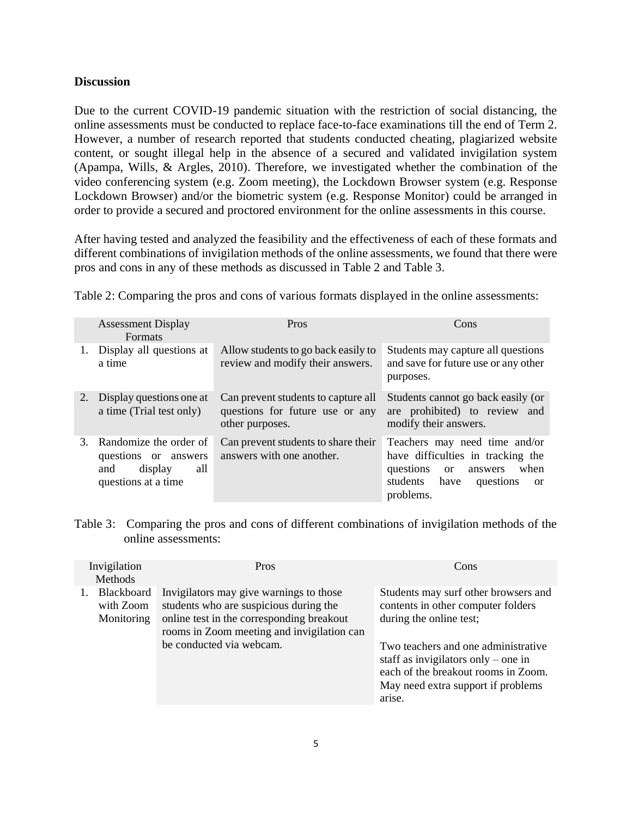## **Discussion**

Due to the current COVID-19 pandemic situation with the restriction of social distancing, the online assessments must be conducted to replace face-to-face examinations till the end of Term 2. However, a number of research reported that students conducted cheating, plagiarized website content, or sought illegal help in the absence of a secured and validated invigilation system (Apampa, Wills, & Argles, 2010). Therefore, we investigated whether the combination of the video conferencing system (e.g. Zoom meeting), the Lockdown Browser system (e.g. Response Lockdown Browser) and/or the biometric system (e.g. Response Monitor) could be arranged in order to provide a secured and proctored environment for the online assessments in this course.

After having tested and analyzed the feasibility and the effectiveness of each of these formats and different combinations of invigilation methods of the online assessments, we found that there were pros and cons in any of these methods as discussed in Table 2 and Table 3.

|    | <b>Assessment Display</b><br><b>Formats</b>                                                    | Pros                                                                                      | Cons                                                                                                                                                                 |  |  |
|----|------------------------------------------------------------------------------------------------|-------------------------------------------------------------------------------------------|----------------------------------------------------------------------------------------------------------------------------------------------------------------------|--|--|
|    | Display all questions at<br>a time                                                             | Allow students to go back easily to<br>review and modify their answers.                   | Students may capture all questions<br>and save for future use or any other<br>purposes.                                                                              |  |  |
|    | 2. Display questions one at<br>a time (Trial test only)                                        | Can prevent students to capture all<br>questions for future use or any<br>other purposes. | Students cannot go back easily (or<br>are prohibited) to review and<br>modify their answers.                                                                         |  |  |
| 3. | Randomize the order of<br>questions or answers<br>all<br>display<br>and<br>questions at a time | Can prevent students to share their<br>answers with one another.                          | Teachers may need time and/or<br>have difficulties in tracking the<br>questions<br>when<br>or<br>answers<br>students have<br>questions<br><sub>or</sub><br>problems. |  |  |

Table 2: Comparing the pros and cons of various formats displayed in the online assessments:

Table 3: Comparing the pros and cons of different combinations of invigilation methods of the online assessments:

| Invigilation<br><b>Methods</b>           | <b>Pros</b>                                                                                                                                                                                              | Cons                                                                                                                                                                                                                                                                       |
|------------------------------------------|----------------------------------------------------------------------------------------------------------------------------------------------------------------------------------------------------------|----------------------------------------------------------------------------------------------------------------------------------------------------------------------------------------------------------------------------------------------------------------------------|
| 1. Blackboard<br>with Zoom<br>Monitoring | Invigilators may give warnings to those<br>students who are suspicious during the<br>online test in the corresponding breakout<br>rooms in Zoom meeting and invigilation can<br>be conducted via webcam. | Students may surf other browsers and<br>contents in other computer folders<br>during the online test;<br>Two teachers and one administrative<br>staff as invigilators only – one in<br>each of the breakout rooms in Zoom.<br>May need extra support if problems<br>arise. |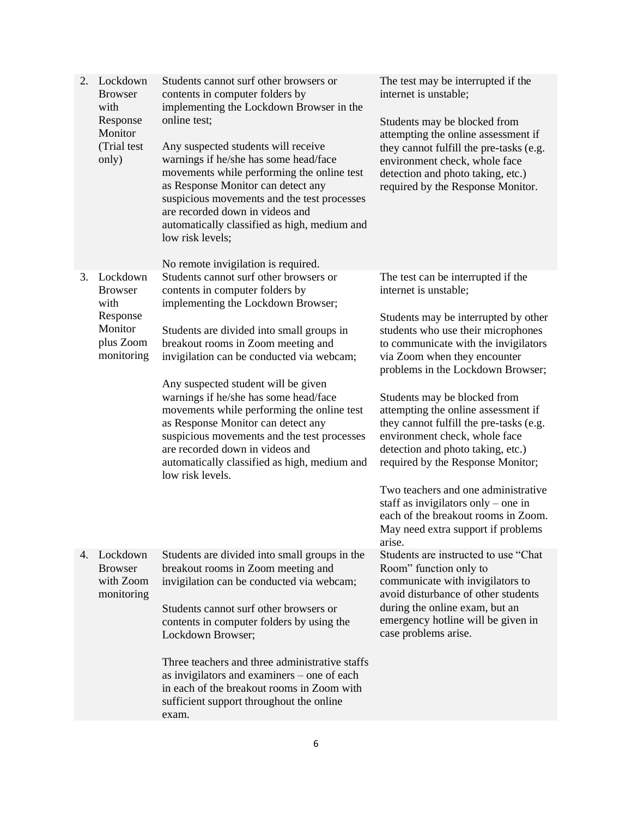| 2. | Lockdown<br><b>Browser</b><br>with<br>Response<br>Monitor<br>(Trial test<br>only)    | Students cannot surf other browsers or<br>contents in computer folders by<br>implementing the Lockdown Browser in the<br>online test;<br>Any suspected students will receive<br>warnings if he/she has some head/face<br>movements while performing the online test<br>as Response Monitor can detect any<br>suspicious movements and the test processes<br>are recorded down in videos and<br>automatically classified as high, medium and<br>low risk levels;<br>No remote invigilation is required.                                                                    | The test may be interrupted if the<br>internet is unstable;<br>Students may be blocked from<br>attempting the online assessment if<br>they cannot fulfill the pre-tasks (e.g.<br>environment check, whole face<br>detection and photo taking, etc.)<br>required by the Response Monitor.                                                                                                                                                                                                                                                                                                                                                                 |
|----|--------------------------------------------------------------------------------------|---------------------------------------------------------------------------------------------------------------------------------------------------------------------------------------------------------------------------------------------------------------------------------------------------------------------------------------------------------------------------------------------------------------------------------------------------------------------------------------------------------------------------------------------------------------------------|----------------------------------------------------------------------------------------------------------------------------------------------------------------------------------------------------------------------------------------------------------------------------------------------------------------------------------------------------------------------------------------------------------------------------------------------------------------------------------------------------------------------------------------------------------------------------------------------------------------------------------------------------------|
| 3. | Lockdown<br><b>Browser</b><br>with<br>Response<br>Monitor<br>plus Zoom<br>monitoring | Students cannot surf other browsers or<br>contents in computer folders by<br>implementing the Lockdown Browser;<br>Students are divided into small groups in<br>breakout rooms in Zoom meeting and<br>invigilation can be conducted via webcam;<br>Any suspected student will be given<br>warnings if he/she has some head/face<br>movements while performing the online test<br>as Response Monitor can detect any<br>suspicious movements and the test processes<br>are recorded down in videos and<br>automatically classified as high, medium and<br>low risk levels. | The test can be interrupted if the<br>internet is unstable;<br>Students may be interrupted by other<br>students who use their microphones<br>to communicate with the invigilators<br>via Zoom when they encounter<br>problems in the Lockdown Browser;<br>Students may be blocked from<br>attempting the online assessment if<br>they cannot fulfill the pre-tasks (e.g.<br>environment check, whole face<br>detection and photo taking, etc.)<br>required by the Response Monitor;<br>Two teachers and one administrative<br>staff as invigilators only – one in<br>each of the breakout rooms in Zoom.<br>May need extra support if problems<br>arise. |
| 4. | Lockdown<br><b>Browser</b><br>with Zoom<br>monitoring                                | Students are divided into small groups in the<br>breakout rooms in Zoom meeting and<br>invigilation can be conducted via webcam;<br>Students cannot surf other browsers or<br>contents in computer folders by using the<br>Lockdown Browser;<br>Three teachers and three administrative staffs<br>as invigilators and examiners – one of each<br>in each of the breakout rooms in Zoom with<br>sufficient support throughout the online<br>exam.                                                                                                                          | Students are instructed to use "Chat<br>Room" function only to<br>communicate with invigilators to<br>avoid disturbance of other students<br>during the online exam, but an<br>emergency hotline will be given in<br>case problems arise.                                                                                                                                                                                                                                                                                                                                                                                                                |